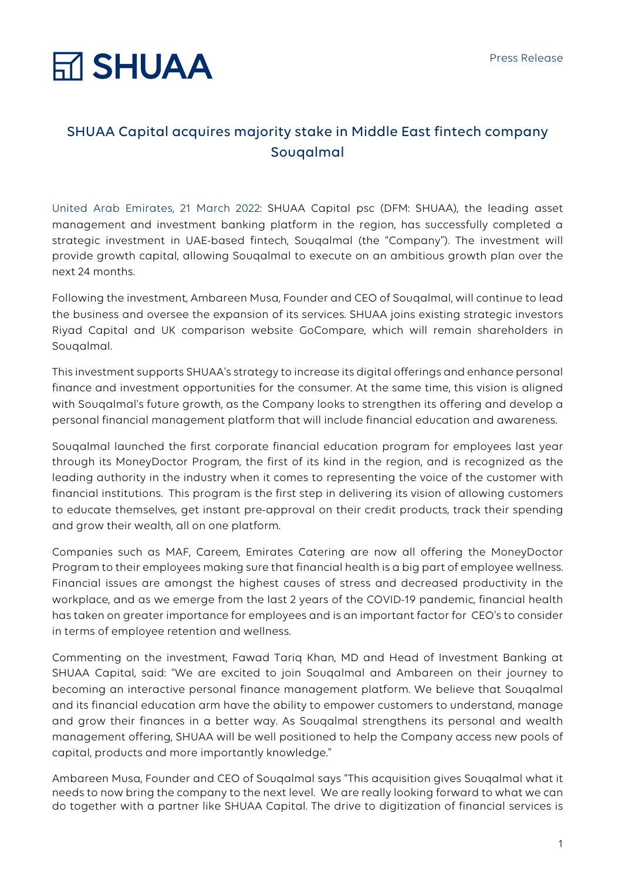## **RT SHUAA**

### SHUAA Capital acquires majority stake in Middle East fintech company Souqalmal

United Arab Emirates, 21 March 2022: SHUAA Capital psc (DFM: SHUAA), the leading asset management and investment banking platform in the region, has successfully completed a strategic investment in UAE-based fintech, Souqalmal (the "Company"). The investment will provide growth capital, allowing Souqalmal to execute on an ambitious growth plan over the next 24 months.

Following the investment, Ambareen Musa, Founder and CEO of Souqalmal, will continue to lead the business and oversee the expansion of its services. SHUAA joins existing strategic investors Riyad Capital and UK comparison website GoCompare, which will remain shareholders in Souqalmal.

This investment supports SHUAA's strategy to increase its digital offerings and enhance personal finance and investment opportunities for the consumer. At the same time, this vision is aligned with Souqalmal's future growth, as the Company looks to strengthen its offering and develop a personal financial management platform that will include financial education and awareness.

Souqalmal launched the first corporate financial education program for employees last year through its MoneyDoctor Program, the first of its kind in the region, and is recognized as the leading authority in the industry when it comes to representing the voice of the customer with financial institutions. This program is the first step in delivering its vision of allowing customers to educate themselves, get instant pre-approval on their credit products, track their spending and grow their wealth, all on one platform.

Companies such as MAF, Careem, Emirates Catering are now all offering the MoneyDoctor Program to their employees making sure that financial health is a big part of employee wellness. Financial issues are amongst the highest causes of stress and decreased productivity in the workplace, and as we emerge from the last 2 years of the COVID-19 pandemic, financial health has taken on greater importance for employees and is an important factor for CEO's to consider in terms of employee retention and wellness.

Commenting on the investment, Fawad Tariq Khan, MD and Head of Investment Banking at SHUAA Capital, said: "We are excited to join Souqalmal and Ambareen on their journey to becoming an interactive personal finance management platform. We believe that Souqalmal and its financial education arm have the ability to empower customers to understand, manage and grow their finances in a better way. As Souqalmal strengthens its personal and wealth management offering, SHUAA will be well positioned to help the Company access new pools of capital, products and more importantly knowledge."

Ambareen Musa, Founder and CEO of Souqalmal says "This acquisition gives Souqalmal what it needs to now bring the company to the next level. We are really looking forward to what we can do together with a partner like SHUAA Capital. The drive to digitization of financial services is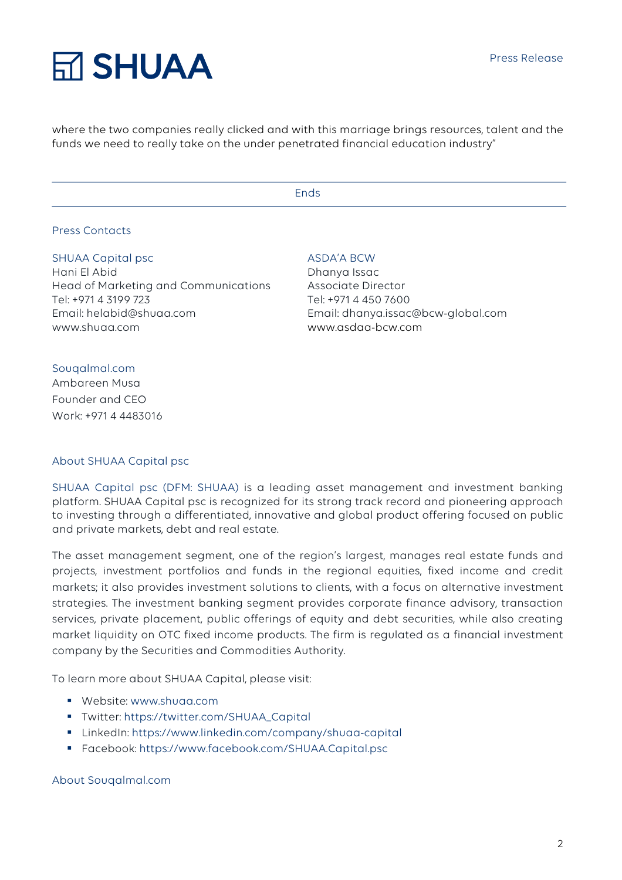### **RT SHUAA**

where the two companies really clicked and with this marriage brings resources, talent and the funds we need to really take on the under penetrated financial education industry"

Ends

#### Press Contacts

#### SHUAA Capital psc

Hani El Abid Head of Marketing and Communications Tel: +971 4 3199 723 Email: helabid@shuaa.com www.shuaa.com

#### ASDA'A BCW

Dhanya Issac Associate Director Tel: +971 4 450 7600 Email: dhanya.issac@bcw-global.com www.asdaa-bcw.com

#### Souqalmal.com

Ambareen Musa Founder and CEO Work: +971 4 4483016

#### About SHUAA Capital psc

SHUAA Capital psc (DFM: SHUAA) is a leading asset management and investment banking platform. SHUAA Capital psc is recognized for its strong track record and pioneering approach to investing through a differentiated, innovative and global product offering focused on public and private markets, debt and real estate.

The asset management segment, one of the region's largest, manages real estate funds and projects, investment portfolios and funds in the regional equities, fixed income and credit markets; it also provides investment solutions to clients, with a focus on alternative investment strategies. The investment banking segment provides corporate finance advisory, transaction services, private placement, public offerings of equity and debt securities, while also creating market liquidity on OTC fixed income products. The firm is regulated as a financial investment company by the Securities and Commodities Authority.

To learn more about SHUAA Capital, please visit:

- § Website: www.shuaa.com
- § Twitter: https://twitter.com/SHUAA\_Capital
- § LinkedIn: https://www.linkedin.com/company/shuaa-capital
- § Facebook: https://www.facebook.com/SHUAA.Capital.psc

About Souqalmal.com